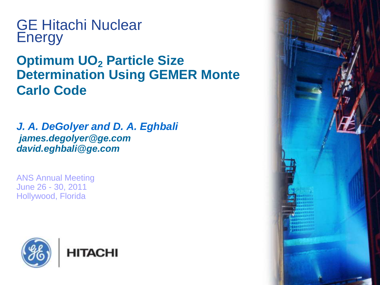GE Hitachi Nuclear Energy

#### **Optimum UO<sup>2</sup> Particle Size Determination Using GEMER Monte Carlo Code**

*J. A. DeGolyer and D. A. Eghbali james.degolyer@ge.com david.eghbali@ge.com*

ANS Annual Meeting June 26 - 30, 2011 Hollywood, Florida



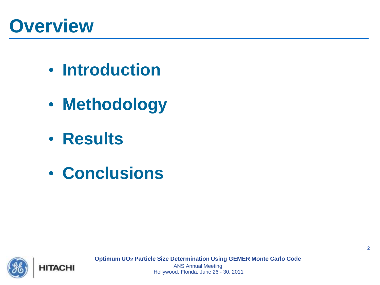# **Overview**

- **Introduction**
- **Methodology**
- **Results**
- **Conclusions**



**Optimum UO2 Particle Size Determination Using GEMER Monte Carlo Code**

ANS Annual Meeting Hollywood, Florida, June 26 - 30, 2011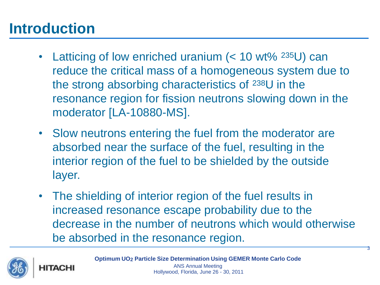### **Introduction**

- Latticing of low enriched uranium (< 10 wt% <sup>235</sup>U) can reduce the critical mass of a homogeneous system due to the strong absorbing characteristics of 238U in the resonance region for fission neutrons slowing down in the moderator [LA-10880-MS].
- Slow neutrons entering the fuel from the moderator are absorbed near the surface of the fuel, resulting in the interior region of the fuel to be shielded by the outside layer.
- The shielding of interior region of the fuel results in increased resonance escape probability due to the decrease in the number of neutrons which would otherwise be absorbed in the resonance region.



**HITACHI** 

**Optimum UO2 Particle Size Determination Using GEMER Monte Carlo Code** ANS Annual Meeting Hollywood, Florida, June 26 - 30, 2011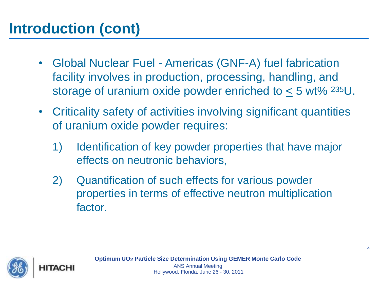## **Introduction (cont)**

- Global Nuclear Fuel Americas (GNF-A) fuel fabrication facility involves in production, processing, handling, and storage of uranium oxide powder enriched to  $\leq$  5 wt% <sup>235</sup>U.
- Criticality safety of activities involving significant quantities of uranium oxide powder requires:
	- 1) Identification of key powder properties that have major effects on neutronic behaviors,
	- 2) Quantification of such effects for various powder properties in terms of effective neutron multiplication factor.

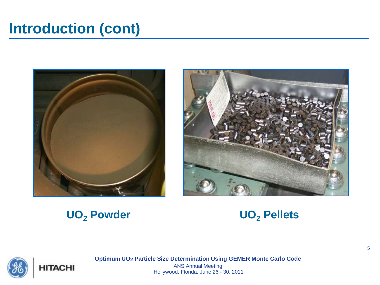#### **Introduction (cont)**





#### **UO<sup>2</sup> Powder UO<sup>2</sup> Pellets**



5



**Optimum UO2 Particle Size Determination Using GEMER Monte Carlo Code**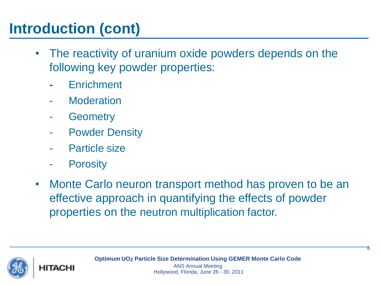## **Introduction (cont)**

- The reactivity of uranium oxide powders depends on the following key powder properties:
	- **-** Enrichment
	- **Moderation**
	- **Geometry**
	- **Powder Density**
	- Particle size
	- **Porosity**
- Monte Carlo neuron transport method has proven to be an effective approach in quantifying the effects of powder properties on the neutron multiplication factor.



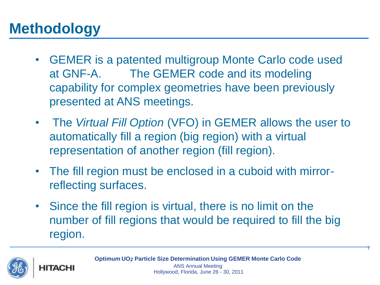### **Methodology**

- GEMER is a patented multigroup Monte Carlo code used at GNF-A. The GEMER code and its modeling capability for complex geometries have been previously presented at ANS meetings.
- The *Virtual Fill Option* (VFO) in GEMER allows the user to automatically fill a region (big region) with a virtual representation of another region (fill region).
- The fill region must be enclosed in a cuboid with mirrorreflecting surfaces.
- Since the fill region is virtual, there is no limit on the number of fill regions that would be required to fill the big region.



HITACHI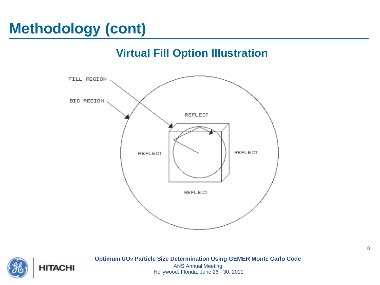#### **Virtual Fill Option Illustration**





**Optimum UO2 Particle Size Determination Using GEMER Monte Carlo Code**

8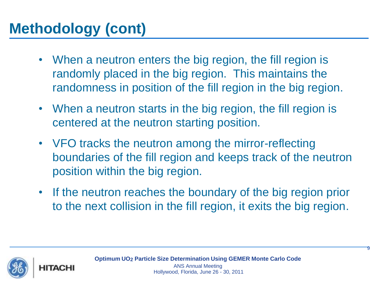- When a neutron enters the big region, the fill region is randomly placed in the big region. This maintains the randomness in position of the fill region in the big region.
- When a neutron starts in the big region, the fill region is centered at the neutron starting position.
- VFO tracks the neutron among the mirror-reflecting boundaries of the fill region and keeps track of the neutron position within the big region.
- If the neutron reaches the boundary of the big region prior to the next collision in the fill region, it exits the big region.



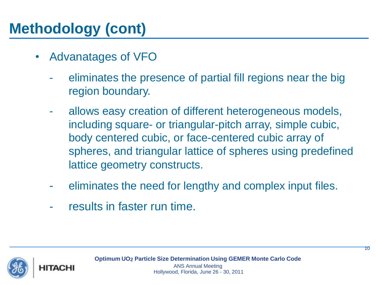- Advanatages of VFO
	- eliminates the presence of partial fill regions near the big region boundary.
	- allows easy creation of different heterogeneous models, including square- or triangular-pitch array, simple cubic, body centered cubic, or face-centered cubic array of spheres, and triangular lattice of spheres using predefined lattice geometry constructs.
	- eliminates the need for lengthy and complex input files.
	- results in faster run time.

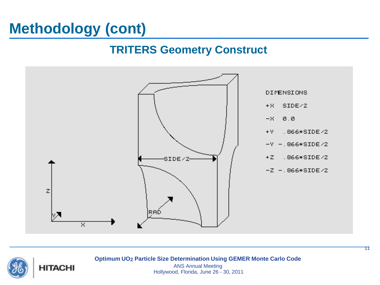#### **TRITERS Geometry Construct**





**Optimum UO2 Particle Size Determination Using GEMER Monte Carlo Code**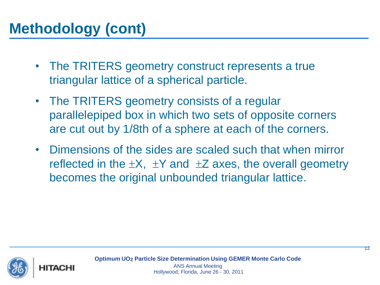- The TRITERS geometry construct represents a true triangular lattice of a spherical particle.
- The TRITERS geometry consists of a regular parallelepiped box in which two sets of opposite corners are cut out by 1/8th of a sphere at each of the corners.
- Dimensions of the sides are scaled such that when mirror reflected in the  $\pm X$ ,  $\pm Y$  and  $\pm Z$  axes, the overall geometry becomes the original unbounded triangular lattice.

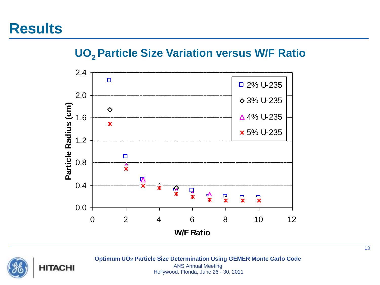#### **UO2 Particle Size Variation versus W/F Ratio**





**Optimum UO2 Particle Size Determination Using GEMER Monte Carlo Code**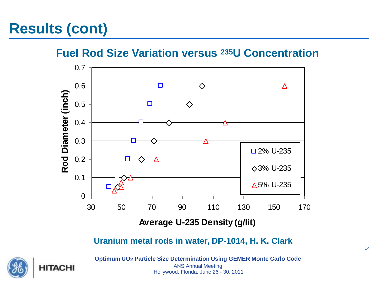## **Results (cont)**

**Fuel Rod Size Variation versus 235U Concentration**



**Uranium metal rods in water, DP-1014, H. K. Clark**



**Optimum UO2 Particle Size Determination Using GEMER Monte Carlo Code**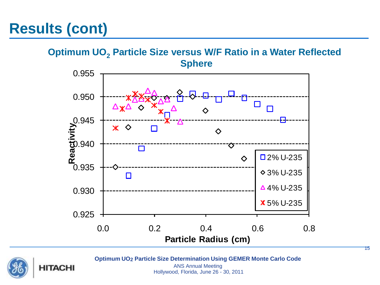### **Results (cont)**

#### **Optimum UO<sup>2</sup> Particle Size versus W/F Ratio in a Water Reflected Sphere**





**Optimum UO2 Particle Size Determination Using GEMER Monte Carlo Code**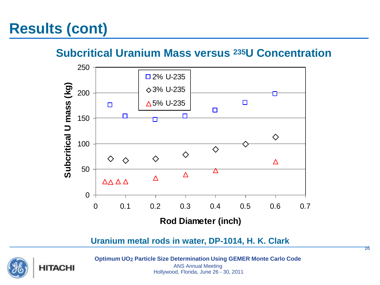## **Results (cont)**

#### **Subcritical Uranium Mass versus 235U Concentration**



**Uranium metal rods in water, DP-1014, H. K. Clark**



**Optimum UO2 Particle Size Determination Using GEMER Monte Carlo Code**

ANS Annual Meeting Hollywood, Florida, June 26 - 30, 2011